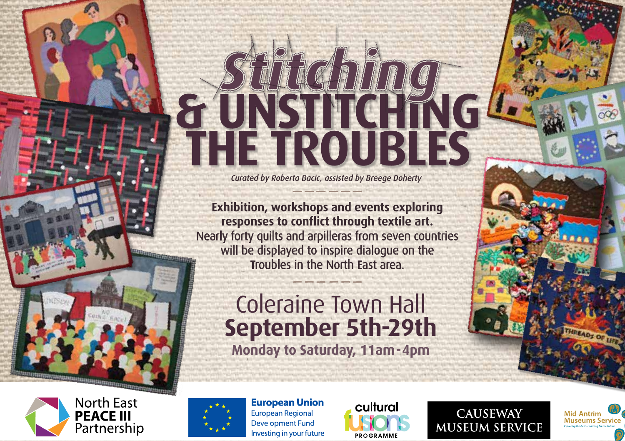# *Stitching* THE TROUBLES

*Curated by Roberta Bacic, assisted by Breege Doherty*

**Exhibition, workshops and events exploring responses to conflict through textile art.**  Nearly forty quilts and arpilleras from seven countries will be displayed to inspire dialogue on the Troubles in the North East area.

## **Monday to Saturday, 11am-4pm** Coleraine Town Hall **September 5th-29th**





**European Union** European Regional **Development Fund** Investing in your future



**CAUSEWAY MUSEUM SERVICE**